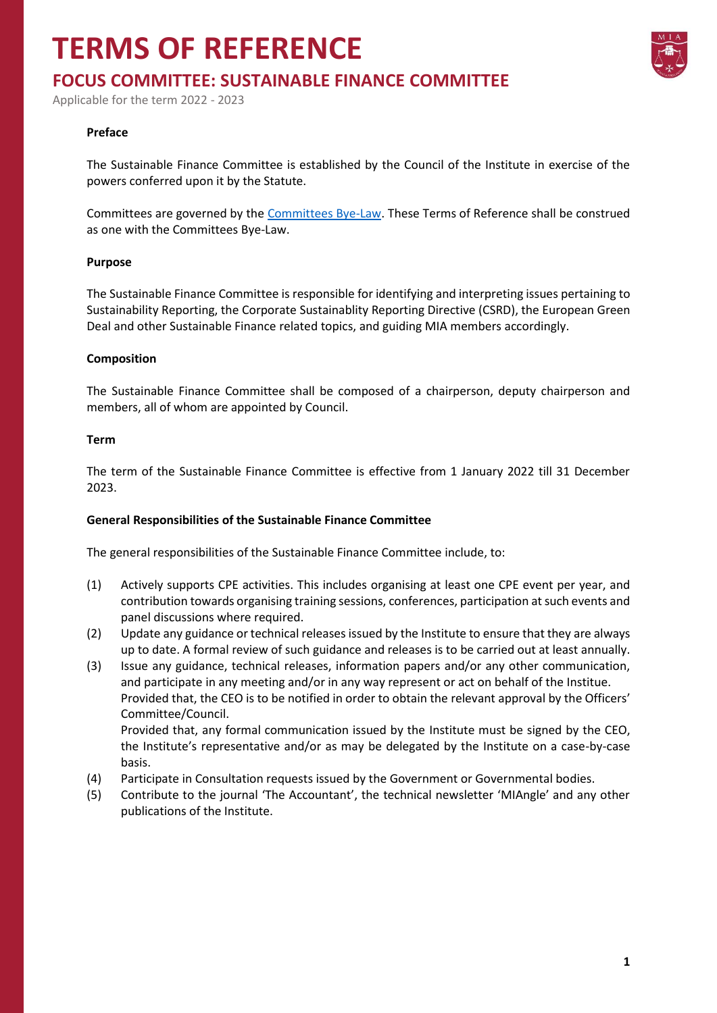## **TERMS OF REFERENCE**



### **FOCUS COMMITTEE: SUSTAINABLE FINANCE COMMITTEE**

Applicable for the term 2022 - 2023

#### **Preface**

The Sustainable Finance Committee is established by the Council of the Institute in exercise of the powers conferred upon it by the Statute.

Committees are governed by the [Committees Bye-Law.](https://www.miamalta.org/Statute-and-Bye-Laws) These Terms of Reference shall be construed as one with the Committees Bye-Law.

#### **Purpose**

The Sustainable Finance Committee is responsible for identifying and interpreting issues pertaining to Sustainability Reporting, the Corporate Sustainablity Reporting Directive (CSRD), the European Green Deal and other Sustainable Finance related topics, and guiding MIA members accordingly.

#### **Composition**

The Sustainable Finance Committee shall be composed of a chairperson, deputy chairperson and members, all of whom are appointed by Council.

#### **Term**

The term of the Sustainable Finance Committee is effective from 1 January 2022 till 31 December 2023.

#### **General Responsibilities of the Sustainable Finance Committee**

The general responsibilities of the Sustainable Finance Committee include, to:

- (1) Actively supports CPE activities. This includes organising at least one CPE event per year, and contribution towards organising training sessions, conferences, participation at such events and panel discussions where required.
- (2) Update any guidance or technical releases issued by the Institute to ensure that they are always up to date. A formal review of such guidance and releases is to be carried out at least annually.
- (3) Issue any guidance, technical releases, information papers and/or any other communication, and participate in any meeting and/or in any way represent or act on behalf of the Institue. Provided that, the CEO is to be notified in order to obtain the relevant approval by the Officers' Committee/Council. Provided that, any formal communication issued by the Institute must be signed by the CEO,
	- the Institute's representative and/or as may be delegated by the Institute on a case-by-case basis.
- (4) Participate in Consultation requests issued by the Government or Governmental bodies.
- (5) Contribute to the journal 'The Accountant', the technical newsletter 'MIAngle' and any other publications of the Institute.